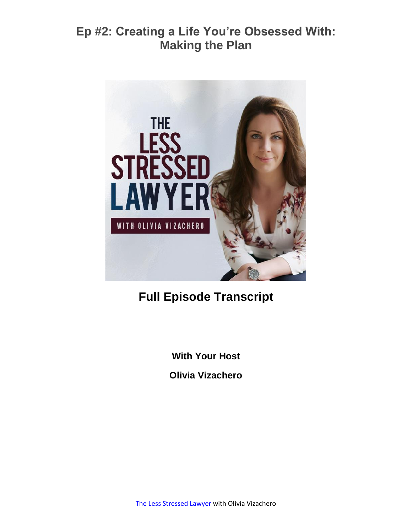

# **Full Episode Transcript**

**With Your Host**

**Olivia Vizachero**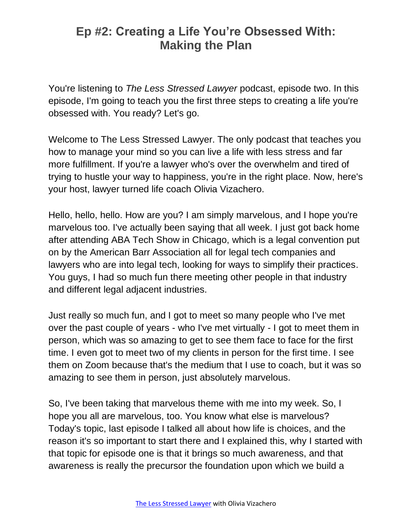You're listening to *The Less Stressed Lawyer* podcast, episode two. In this episode, I'm going to teach you the first three steps to creating a life you're obsessed with. You ready? Let's go.

Welcome to The Less Stressed Lawyer. The only podcast that teaches you how to manage your mind so you can live a life with less stress and far more fulfillment. If you're a lawyer who's over the overwhelm and tired of trying to hustle your way to happiness, you're in the right place. Now, here's your host, lawyer turned life coach Olivia Vizachero.

Hello, hello, hello. How are you? I am simply marvelous, and I hope you're marvelous too. I've actually been saying that all week. I just got back home after attending ABA Tech Show in Chicago, which is a legal convention put on by the American Barr Association all for legal tech companies and lawyers who are into legal tech, looking for ways to simplify their practices. You guys, I had so much fun there meeting other people in that industry and different legal adjacent industries.

Just really so much fun, and I got to meet so many people who I've met over the past couple of years - who I've met virtually - I got to meet them in person, which was so amazing to get to see them face to face for the first time. I even got to meet two of my clients in person for the first time. I see them on Zoom because that's the medium that I use to coach, but it was so amazing to see them in person, just absolutely marvelous.

So, I've been taking that marvelous theme with me into my week. So, I hope you all are marvelous, too. You know what else is marvelous? Today's topic, last episode I talked all about how life is choices, and the reason it's so important to start there and I explained this, why I started with that topic for episode one is that it brings so much awareness, and that awareness is really the precursor the foundation upon which we build a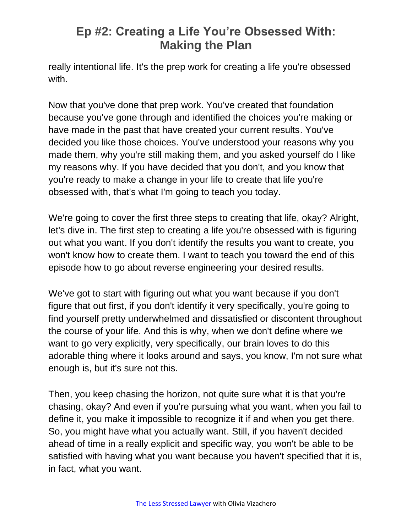really intentional life. It's the prep work for creating a life you're obsessed with.

Now that you've done that prep work. You've created that foundation because you've gone through and identified the choices you're making or have made in the past that have created your current results. You've decided you like those choices. You've understood your reasons why you made them, why you're still making them, and you asked yourself do I like my reasons why. If you have decided that you don't, and you know that you're ready to make a change in your life to create that life you're obsessed with, that's what I'm going to teach you today.

We're going to cover the first three steps to creating that life, okay? Alright, let's dive in. The first step to creating a life you're obsessed with is figuring out what you want. If you don't identify the results you want to create, you won't know how to create them. I want to teach you toward the end of this episode how to go about reverse engineering your desired results.

We've got to start with figuring out what you want because if you don't figure that out first, if you don't identify it very specifically, you're going to find yourself pretty underwhelmed and dissatisfied or discontent throughout the course of your life. And this is why, when we don't define where we want to go very explicitly, very specifically, our brain loves to do this adorable thing where it looks around and says, you know, I'm not sure what enough is, but it's sure not this.

Then, you keep chasing the horizon, not quite sure what it is that you're chasing, okay? And even if you're pursuing what you want, when you fail to define it, you make it impossible to recognize it if and when you get there. So, you might have what you actually want. Still, if you haven't decided ahead of time in a really explicit and specific way, you won't be able to be satisfied with having what you want because you haven't specified that it is, in fact, what you want.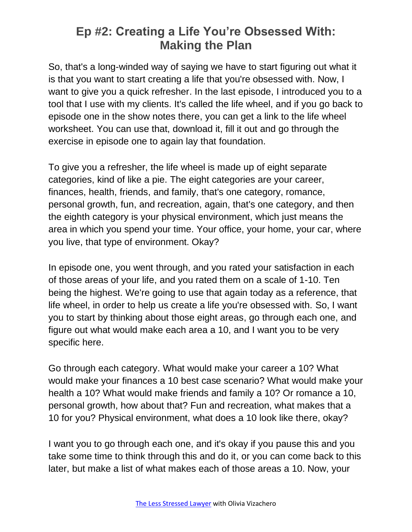So, that's a long-winded way of saying we have to start figuring out what it is that you want to start creating a life that you're obsessed with. Now, I want to give you a quick refresher. In the last episode, I introduced you to a tool that I use with my clients. It's called the life wheel, and if you go back to episode one in the show notes there, you can get a link to the life wheel worksheet. You can use that, download it, fill it out and go through the exercise in episode one to again lay that foundation.

To give you a refresher, the life wheel is made up of eight separate categories, kind of like a pie. The eight categories are your career, finances, health, friends, and family, that's one category, romance, personal growth, fun, and recreation, again, that's one category, and then the eighth category is your physical environment, which just means the area in which you spend your time. Your office, your home, your car, where you live, that type of environment. Okay?

In episode one, you went through, and you rated your satisfaction in each of those areas of your life, and you rated them on a scale of 1-10. Ten being the highest. We're going to use that again today as a reference, that life wheel, in order to help us create a life you're obsessed with. So, I want you to start by thinking about those eight areas, go through each one, and figure out what would make each area a 10, and I want you to be very specific here.

Go through each category. What would make your career a 10? What would make your finances a 10 best case scenario? What would make your health a 10? What would make friends and family a 10? Or romance a 10, personal growth, how about that? Fun and recreation, what makes that a 10 for you? Physical environment, what does a 10 look like there, okay?

I want you to go through each one, and it's okay if you pause this and you take some time to think through this and do it, or you can come back to this later, but make a list of what makes each of those areas a 10. Now, your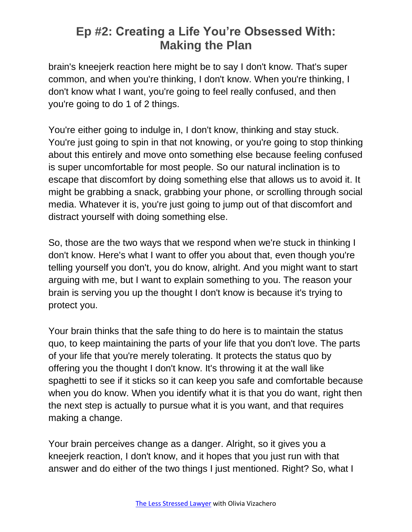brain's kneejerk reaction here might be to say I don't know. That's super common, and when you're thinking, I don't know. When you're thinking, I don't know what I want, you're going to feel really confused, and then you're going to do 1 of 2 things.

You're either going to indulge in, I don't know, thinking and stay stuck. You're just going to spin in that not knowing, or you're going to stop thinking about this entirely and move onto something else because feeling confused is super uncomfortable for most people. So our natural inclination is to escape that discomfort by doing something else that allows us to avoid it. It might be grabbing a snack, grabbing your phone, or scrolling through social media. Whatever it is, you're just going to jump out of that discomfort and distract yourself with doing something else.

So, those are the two ways that we respond when we're stuck in thinking I don't know. Here's what I want to offer you about that, even though you're telling yourself you don't, you do know, alright. And you might want to start arguing with me, but I want to explain something to you. The reason your brain is serving you up the thought I don't know is because it's trying to protect you.

Your brain thinks that the safe thing to do here is to maintain the status quo, to keep maintaining the parts of your life that you don't love. The parts of your life that you're merely tolerating. It protects the status quo by offering you the thought I don't know. It's throwing it at the wall like spaghetti to see if it sticks so it can keep you safe and comfortable because when you do know. When you identify what it is that you do want, right then the next step is actually to pursue what it is you want, and that requires making a change.

Your brain perceives change as a danger. Alright, so it gives you a kneejerk reaction, I don't know, and it hopes that you just run with that answer and do either of the two things I just mentioned. Right? So, what I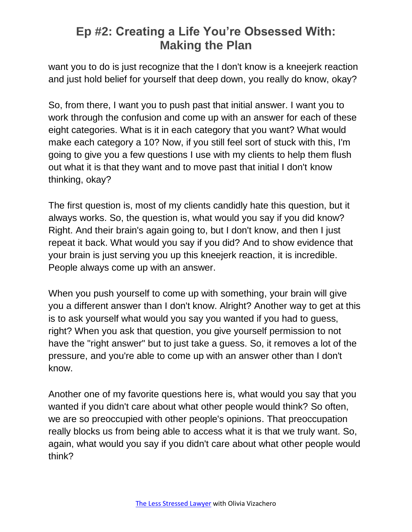want you to do is just recognize that the I don't know is a kneejerk reaction and just hold belief for yourself that deep down, you really do know, okay?

So, from there, I want you to push past that initial answer. I want you to work through the confusion and come up with an answer for each of these eight categories. What is it in each category that you want? What would make each category a 10? Now, if you still feel sort of stuck with this, I'm going to give you a few questions I use with my clients to help them flush out what it is that they want and to move past that initial I don't know thinking, okay?

The first question is, most of my clients candidly hate this question, but it always works. So, the question is, what would you say if you did know? Right. And their brain's again going to, but I don't know, and then I just repeat it back. What would you say if you did? And to show evidence that your brain is just serving you up this kneejerk reaction, it is incredible. People always come up with an answer.

When you push yourself to come up with something, your brain will give you a different answer than I don't know. Alright? Another way to get at this is to ask yourself what would you say you wanted if you had to guess, right? When you ask that question, you give yourself permission to not have the "right answer" but to just take a guess. So, it removes a lot of the pressure, and you're able to come up with an answer other than I don't know.

Another one of my favorite questions here is, what would you say that you wanted if you didn't care about what other people would think? So often, we are so preoccupied with other people's opinions. That preoccupation really blocks us from being able to access what it is that we truly want. So, again, what would you say if you didn't care about what other people would think?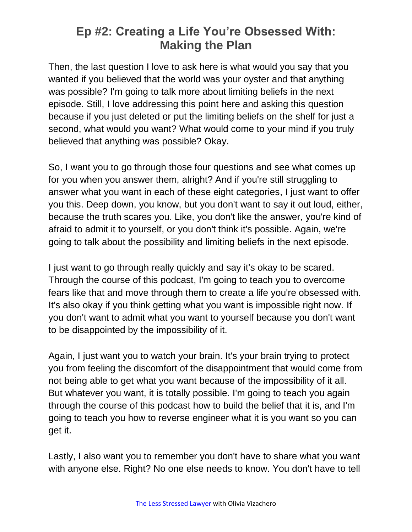Then, the last question I love to ask here is what would you say that you wanted if you believed that the world was your oyster and that anything was possible? I'm going to talk more about limiting beliefs in the next episode. Still, I love addressing this point here and asking this question because if you just deleted or put the limiting beliefs on the shelf for just a second, what would you want? What would come to your mind if you truly believed that anything was possible? Okay.

So, I want you to go through those four questions and see what comes up for you when you answer them, alright? And if you're still struggling to answer what you want in each of these eight categories, I just want to offer you this. Deep down, you know, but you don't want to say it out loud, either, because the truth scares you. Like, you don't like the answer, you're kind of afraid to admit it to yourself, or you don't think it's possible. Again, we're going to talk about the possibility and limiting beliefs in the next episode.

I just want to go through really quickly and say it's okay to be scared. Through the course of this podcast, I'm going to teach you to overcome fears like that and move through them to create a life you're obsessed with. It's also okay if you think getting what you want is impossible right now. If you don't want to admit what you want to yourself because you don't want to be disappointed by the impossibility of it.

Again, I just want you to watch your brain. It's your brain trying to protect you from feeling the discomfort of the disappointment that would come from not being able to get what you want because of the impossibility of it all. But whatever you want, it is totally possible. I'm going to teach you again through the course of this podcast how to build the belief that it is, and I'm going to teach you how to reverse engineer what it is you want so you can get it.

Lastly, I also want you to remember you don't have to share what you want with anyone else. Right? No one else needs to know. You don't have to tell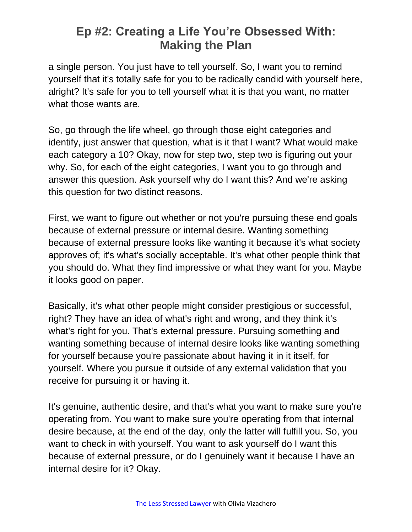a single person. You just have to tell yourself. So, I want you to remind yourself that it's totally safe for you to be radically candid with yourself here, alright? It's safe for you to tell yourself what it is that you want, no matter what those wants are.

So, go through the life wheel, go through those eight categories and identify, just answer that question, what is it that I want? What would make each category a 10? Okay, now for step two, step two is figuring out your why. So, for each of the eight categories, I want you to go through and answer this question. Ask yourself why do I want this? And we're asking this question for two distinct reasons.

First, we want to figure out whether or not you're pursuing these end goals because of external pressure or internal desire. Wanting something because of external pressure looks like wanting it because it's what society approves of; it's what's socially acceptable. It's what other people think that you should do. What they find impressive or what they want for you. Maybe it looks good on paper.

Basically, it's what other people might consider prestigious or successful, right? They have an idea of what's right and wrong, and they think it's what's right for you. That's external pressure. Pursuing something and wanting something because of internal desire looks like wanting something for yourself because you're passionate about having it in it itself, for yourself. Where you pursue it outside of any external validation that you receive for pursuing it or having it.

It's genuine, authentic desire, and that's what you want to make sure you're operating from. You want to make sure you're operating from that internal desire because, at the end of the day, only the latter will fulfill you. So, you want to check in with yourself. You want to ask yourself do I want this because of external pressure, or do I genuinely want it because I have an internal desire for it? Okay.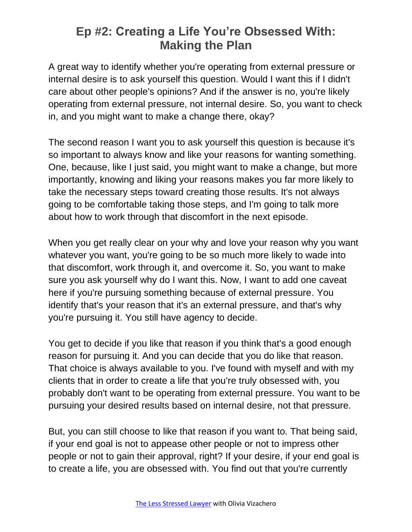A great way to identify whether you're operating from external pressure or internal desire is to ask yourself this question. Would I want this if I didn't care about other people's opinions? And if the answer is no, you're likely operating from external pressure, not internal desire. So, you want to check in, and you might want to make a change there, okay?

The second reason I want you to ask yourself this question is because it's so important to always know and like your reasons for wanting something. One, because, like I just said, you might want to make a change, but more importantly, knowing and liking your reasons makes you far more likely to take the necessary steps toward creating those results. It's not always going to be comfortable taking those steps, and I'm going to talk more about how to work through that discomfort in the next episode.

When you get really clear on your why and love your reason why you want whatever you want, you're going to be so much more likely to wade into that discomfort, work through it, and overcome it. So, you want to make sure you ask yourself why do I want this. Now, I want to add one caveat here if you're pursuing something because of external pressure. You identify that's your reason that it's an external pressure, and that's why you're pursuing it. You still have agency to decide.

You get to decide if you like that reason if you think that's a good enough reason for pursuing it. And you can decide that you do like that reason. That choice is always available to you. I've found with myself and with my clients that in order to create a life that you're truly obsessed with, you probably don't want to be operating from external pressure. You want to be pursuing your desired results based on internal desire, not that pressure.

But, you can still choose to like that reason if you want to. That being said, if your end goal is not to appease other people or not to impress other people or not to gain their approval, right? If your desire, if your end goal is to create a life, you are obsessed with. You find out that you're currently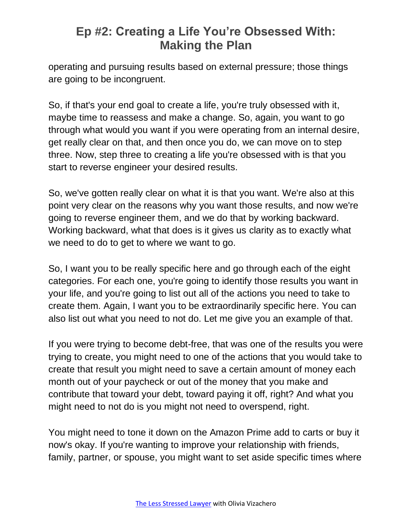operating and pursuing results based on external pressure; those things are going to be incongruent.

So, if that's your end goal to create a life, you're truly obsessed with it, maybe time to reassess and make a change. So, again, you want to go through what would you want if you were operating from an internal desire, get really clear on that, and then once you do, we can move on to step three. Now, step three to creating a life you're obsessed with is that you start to reverse engineer your desired results.

So, we've gotten really clear on what it is that you want. We're also at this point very clear on the reasons why you want those results, and now we're going to reverse engineer them, and we do that by working backward. Working backward, what that does is it gives us clarity as to exactly what we need to do to get to where we want to go.

So, I want you to be really specific here and go through each of the eight categories. For each one, you're going to identify those results you want in your life, and you're going to list out all of the actions you need to take to create them. Again, I want you to be extraordinarily specific here. You can also list out what you need to not do. Let me give you an example of that.

If you were trying to become debt-free, that was one of the results you were trying to create, you might need to one of the actions that you would take to create that result you might need to save a certain amount of money each month out of your paycheck or out of the money that you make and contribute that toward your debt, toward paying it off, right? And what you might need to not do is you might not need to overspend, right.

You might need to tone it down on the Amazon Prime add to carts or buy it now's okay. If you're wanting to improve your relationship with friends, family, partner, or spouse, you might want to set aside specific times where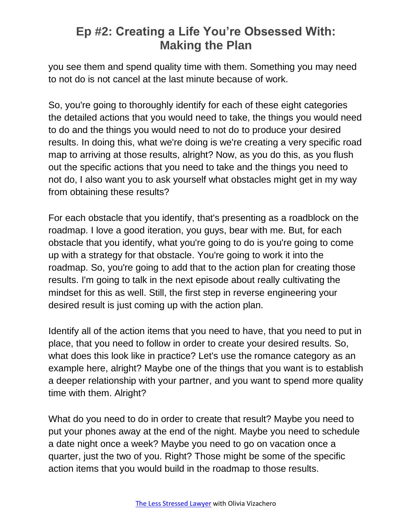you see them and spend quality time with them. Something you may need to not do is not cancel at the last minute because of work.

So, you're going to thoroughly identify for each of these eight categories the detailed actions that you would need to take, the things you would need to do and the things you would need to not do to produce your desired results. In doing this, what we're doing is we're creating a very specific road map to arriving at those results, alright? Now, as you do this, as you flush out the specific actions that you need to take and the things you need to not do, I also want you to ask yourself what obstacles might get in my way from obtaining these results?

For each obstacle that you identify, that's presenting as a roadblock on the roadmap. I love a good iteration, you guys, bear with me. But, for each obstacle that you identify, what you're going to do is you're going to come up with a strategy for that obstacle. You're going to work it into the roadmap. So, you're going to add that to the action plan for creating those results. I'm going to talk in the next episode about really cultivating the mindset for this as well. Still, the first step in reverse engineering your desired result is just coming up with the action plan.

Identify all of the action items that you need to have, that you need to put in place, that you need to follow in order to create your desired results. So, what does this look like in practice? Let's use the romance category as an example here, alright? Maybe one of the things that you want is to establish a deeper relationship with your partner, and you want to spend more quality time with them. Alright?

What do you need to do in order to create that result? Maybe you need to put your phones away at the end of the night. Maybe you need to schedule a date night once a week? Maybe you need to go on vacation once a quarter, just the two of you. Right? Those might be some of the specific action items that you would build in the roadmap to those results.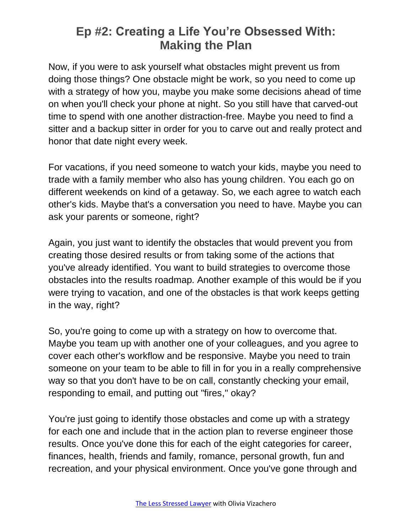Now, if you were to ask yourself what obstacles might prevent us from doing those things? One obstacle might be work, so you need to come up with a strategy of how you, maybe you make some decisions ahead of time on when you'll check your phone at night. So you still have that carved-out time to spend with one another distraction-free. Maybe you need to find a sitter and a backup sitter in order for you to carve out and really protect and honor that date night every week.

For vacations, if you need someone to watch your kids, maybe you need to trade with a family member who also has young children. You each go on different weekends on kind of a getaway. So, we each agree to watch each other's kids. Maybe that's a conversation you need to have. Maybe you can ask your parents or someone, right?

Again, you just want to identify the obstacles that would prevent you from creating those desired results or from taking some of the actions that you've already identified. You want to build strategies to overcome those obstacles into the results roadmap. Another example of this would be if you were trying to vacation, and one of the obstacles is that work keeps getting in the way, right?

So, you're going to come up with a strategy on how to overcome that. Maybe you team up with another one of your colleagues, and you agree to cover each other's workflow and be responsive. Maybe you need to train someone on your team to be able to fill in for you in a really comprehensive way so that you don't have to be on call, constantly checking your email, responding to email, and putting out "fires," okay?

You're just going to identify those obstacles and come up with a strategy for each one and include that in the action plan to reverse engineer those results. Once you've done this for each of the eight categories for career, finances, health, friends and family, romance, personal growth, fun and recreation, and your physical environment. Once you've gone through and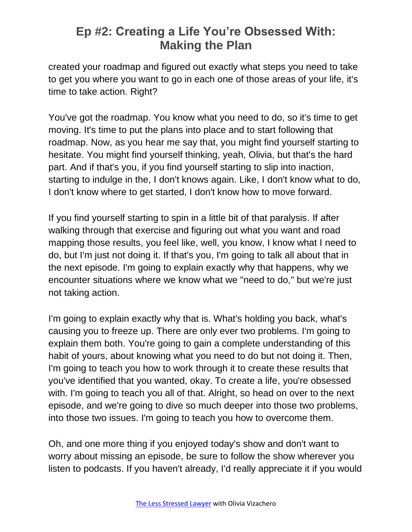created your roadmap and figured out exactly what steps you need to take to get you where you want to go in each one of those areas of your life, it's time to take action. Right?

You've got the roadmap. You know what you need to do, so it's time to get moving. It's time to put the plans into place and to start following that roadmap. Now, as you hear me say that, you might find yourself starting to hesitate. You might find yourself thinking, yeah, Olivia, but that's the hard part. And if that's you, if you find yourself starting to slip into inaction, starting to indulge in the, I don't knows again. Like, I don't know what to do, I don't know where to get started, I don't know how to move forward.

If you find yourself starting to spin in a little bit of that paralysis. If after walking through that exercise and figuring out what you want and road mapping those results, you feel like, well, you know, I know what I need to do, but I'm just not doing it. If that's you, I'm going to talk all about that in the next episode. I'm going to explain exactly why that happens, why we encounter situations where we know what we "need to do," but we're just not taking action.

I'm going to explain exactly why that is. What's holding you back, what's causing you to freeze up. There are only ever two problems. I'm going to explain them both. You're going to gain a complete understanding of this habit of yours, about knowing what you need to do but not doing it. Then, I'm going to teach you how to work through it to create these results that you've identified that you wanted, okay. To create a life, you're obsessed with. I'm going to teach you all of that. Alright, so head on over to the next episode, and we're going to dive so much deeper into those two problems, into those two issues. I'm going to teach you how to overcome them.

Oh, and one more thing if you enjoyed today's show and don't want to worry about missing an episode, be sure to follow the show wherever you listen to podcasts. If you haven't already, I'd really appreciate it if you would